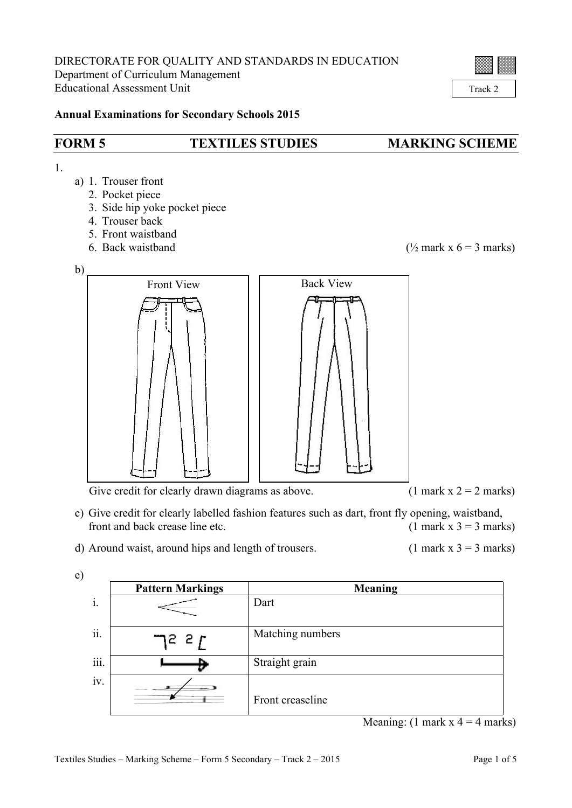

Track 2

## **Annual Examinations for Secondary Schools 2015**

## **FORM 5 TEXTILES STUDIES MARKING SCHEME**

1.

- a) 1. Trouser front
	- 2. Pocket piece
	- 3. Side hip yoke pocket piece
	- 4. Trouser back
	- 5. Front waistband
	-

6. Back waistband  $(\frac{1}{2}$  mark x 6 = 3 marks)



Give credit for clearly drawn diagrams as above. (1 mark  $x = 2$  marks)

- c) Give credit for clearly labelled fashion features such as dart, front fly opening, waistband, front and back crease line etc.  $(1 \text{ mark } x \text{ } 3 = 3 \text{ marks})$
- d) Around waist, around hips and length of trousers. (1 mark  $x$  3 = 3 marks)

| I                        |  |
|--------------------------|--|
| I<br>×<br>۰,<br>۰.<br>۰, |  |

|                                    | <b>Pattern Markings</b> | <b>Meaning</b>   |
|------------------------------------|-------------------------|------------------|
| $\mathbf{i}$ .                     |                         | Dart             |
|                                    |                         |                  |
| $\ddot{\phantom{0}}$<br>11.        | 7227                    | Matching numbers |
| $\ddotsc$<br>111.                  | Ð                       | Straight grain   |
| $\ddot{\phantom{0}}$<br><b>1V.</b> |                         | Front creaseline |

Meaning:  $(1 \text{ mark } x \cdot 4 = 4 \text{ marks})$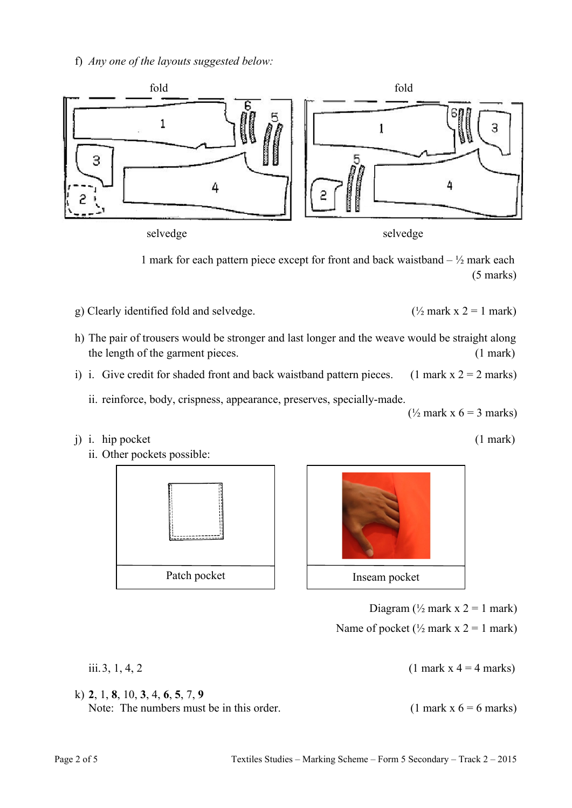f) *Any one of the layouts suggested below:*



selvedge selvedge

1 mark for each pattern piece except for front and back waistband  $- \frac{1}{2}$  mark each (5 marks)

- g) Clearly identified fold and selvedge. ( $\frac{1}{2}$  mark x 2 = 1 mark)
- h) The pair of trousers would be stronger and last longer and the weave would be straight along the length of the garment pieces. (1 mark)
- i) i. Give credit for shaded front and back waistband pattern pieces. (1 mark  $x = 2$  marks)

ii. reinforce, body, crispness, appearance, preserves, specially-made.

j) i. hip pocket (1 mark)



k) **2**, 1, **8**, 10, **3**, 4, **6**, **5**, 7, **9**





Diagram  $(\frac{1}{2}$  mark x 2 = 1 mark)

Name of pocket ( $\frac{1}{2}$  mark x 2 = 1 mark)

iii. 3, 1, 4, 2 (1 mark x  $4 = 4$  marks)

 $(\frac{1}{2}$  mark x 6 = 3 marks)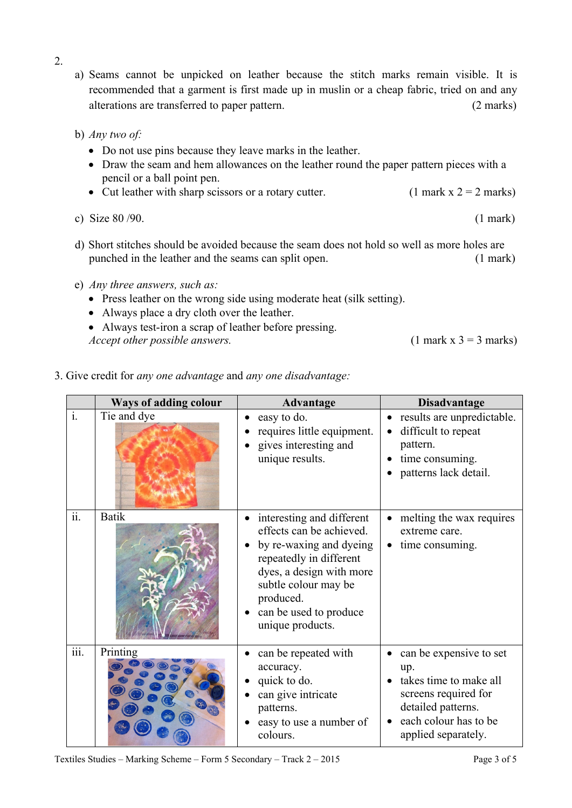- 2.
- a) Seams cannot be unpicked on leather because the stitch marks remain visible. It is recommended that a garment is first made up in muslin or a cheap fabric, tried on and any alterations are transferred to paper pattern. (2 marks)
- b) *Any two of:*
	- Do not use pins because they leave marks in the leather.
	- Draw the seam and hem allowances on the leather round the paper pattern pieces with a pencil or a ball point pen.
	- Cut leather with sharp scissors or a rotary cutter. (1 mark  $x = 2$  marks)
- c) Size  $80/90$ . (1 mark)
- d) Short stitches should be avoided because the seam does not hold so well as more holes are punched in the leather and the seams can split open. (1 mark)
- e) *Any three answers, such as:*
	- Press leather on the wrong side using moderate heat (silk setting).
	- Always place a dry cloth over the leather.
	- Always test-iron a scrap of leather before pressing. *Accept other possible answers.* (1 mark x 3 = 3 marks)
- 3. Give credit for *any one advantage* and *any one disadvantage:*

|                  | Ways of adding colour | <b>Advantage</b>                                                                                                                                                                                                           | <b>Disadvantage</b>                                                                                                                                    |
|------------------|-----------------------|----------------------------------------------------------------------------------------------------------------------------------------------------------------------------------------------------------------------------|--------------------------------------------------------------------------------------------------------------------------------------------------------|
| $\overline{i}$ . | Tie and dye           | easy to do.<br>requires little equipment.<br>gives interesting and<br>unique results.                                                                                                                                      | results are unpredictable.<br>difficult to repeat<br>pattern.<br>time consuming.<br>patterns lack detail.                                              |
| ii.              | <b>Batik</b>          | interesting and different<br>effects can be achieved.<br>by re-waxing and dyeing<br>repeatedly in different<br>dyes, a design with more<br>subtle colour may be<br>produced.<br>can be used to produce<br>unique products. | melting the wax requires<br>extreme care.<br>time consuming.                                                                                           |
| iii.             | Printing              | can be repeated with<br>accuracy.<br>quick to do.<br>can give intricate<br>patterns.<br>easy to use a number of<br>colours.                                                                                                | can be expensive to set<br>up.<br>takes time to make all<br>screens required for<br>detailed patterns.<br>each colour has to be<br>applied separately. |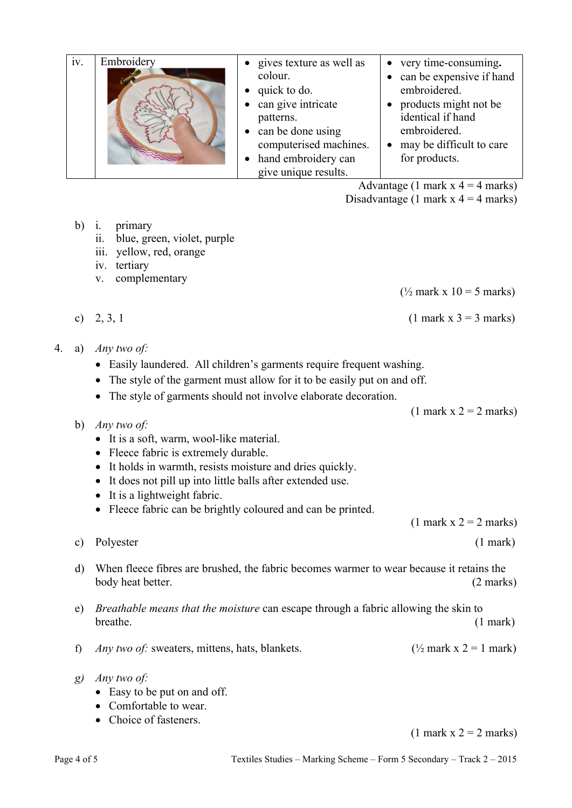| iv. | Embroidery | gives texture as well as | very time-consuming.     |
|-----|------------|--------------------------|--------------------------|
|     |            |                          |                          |
|     |            | colour.                  | can be expensive if hand |
|     |            | quick to do.             | embroidered.             |
|     |            | can give intricate       | products might not be    |
|     |            | patterns.                | identical if hand        |
|     |            | can be done using        | embroidered.             |
|     |            | computerised machines.   | may be difficult to care |
|     |            | hand embroidery can      | for products.            |
|     |            | give unique results.     |                          |

Advantage (1 mark  $x = 4$  marks)

Disadvantage (1 mark  $x = 4$  marks)

- b) i. primary
	- ii. blue, green, violet, purple
	- iii. yellow, red, orange
	- iv. tertiary
	- v. complementary

 $(\frac{1}{2}$  mark x 10 = 5 marks)

c) 2, 3, 1 (1 mark x 3 = 3 marks)

- 4. a) *Any two of:*
	- Easily laundered. All children's garments require frequent washing.
	- The style of the garment must allow for it to be easily put on and off.
	- The style of garments should not involve elaborate decoration.

 $(1$  mark  $x$  2 = 2 marks)

- b) *Any two of:*
	- It is a soft, warm, wool-like material.
	- Fleece fabric is extremely durable.
	- It holds in warmth, resists moisture and dries quickly.
	- It does not pill up into little balls after extended use.
	- It is a lightweight fabric.
	- Fleece fabric can be brightly coloured and can be printed.

 $(1$  mark  $x$   $2 = 2$  marks)

c) Polyester (1 mark)

- d) When fleece fibres are brushed, the fabric becomes warmer to wear because it retains the body heat better. (2 marks)
- e) *Breathable means that the moisture* can escape through a fabric allowing the skin to breathe. (1 mark)
- f) *Any two of:* sweaters, mittens, hats, blankets. ( $\frac{1}{2}$  mark x 2 = 1 mark)
- *g) Any two of:*
	- Easy to be put on and off.
	- Comfortable to wear.
	- Choice of fasteners.

 $(1$  mark  $x$  2 = 2 marks)